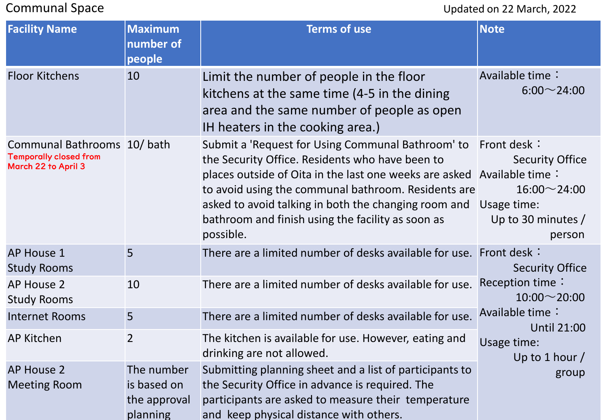## Communal Space Updated on 22 March, 2022

| <b>Facility Name</b>                                                               | <b>Maximum</b><br>number of<br>people                 | <b>Terms of use</b>                                                                                                                                                                                                                                                                                                                                             | <b>Note</b>                                                                                                                                                         |
|------------------------------------------------------------------------------------|-------------------------------------------------------|-----------------------------------------------------------------------------------------------------------------------------------------------------------------------------------------------------------------------------------------------------------------------------------------------------------------------------------------------------------------|---------------------------------------------------------------------------------------------------------------------------------------------------------------------|
| <b>Floor Kitchens</b>                                                              | 10                                                    | Limit the number of people in the floor<br>kitchens at the same time (4-5 in the dining<br>area and the same number of people as open<br>IH heaters in the cooking area.)                                                                                                                                                                                       | Available time:<br>$6:00 - 24:00$                                                                                                                                   |
| Communal Bathrooms 10/bath<br><b>Temporally closed from</b><br>March 22 to April 3 |                                                       | Submit a 'Request for Using Communal Bathroom' to<br>the Security Office. Residents who have been to<br>places outside of Oita in the last one weeks are asked Available time:<br>to avoid using the communal bathroom. Residents are<br>asked to avoid talking in both the changing room and<br>bathroom and finish using the facility as soon as<br>possible. | Front desk:<br><b>Security Office</b><br>$16:00 \sim 24:00$<br>Usage time:<br>Up to 30 minutes /<br>person                                                          |
| <b>AP House 1</b><br><b>Study Rooms</b>                                            | 5                                                     | There are a limited number of desks available for use.                                                                                                                                                                                                                                                                                                          | Front desk:<br><b>Security Office</b><br>Reception time:<br>$10:00 \sim 20:00$<br>Available time:<br><b>Until 21:00</b><br>Usage time:<br>Up to 1 hour $/$<br>group |
| <b>AP House 2</b><br><b>Study Rooms</b>                                            | 10                                                    | There are a limited number of desks available for use.                                                                                                                                                                                                                                                                                                          |                                                                                                                                                                     |
| <b>Internet Rooms</b>                                                              | 5                                                     | There are a limited number of desks available for use.                                                                                                                                                                                                                                                                                                          |                                                                                                                                                                     |
| <b>AP Kitchen</b>                                                                  | $\overline{2}$                                        | The kitchen is available for use. However, eating and<br>drinking are not allowed.                                                                                                                                                                                                                                                                              |                                                                                                                                                                     |
| <b>AP House 2</b><br><b>Meeting Room</b>                                           | The number<br>is based on<br>the approval<br>planning | Submitting planning sheet and a list of participants to<br>the Security Office in advance is required. The<br>participants are asked to measure their temperature<br>and keep physical distance with others.                                                                                                                                                    |                                                                                                                                                                     |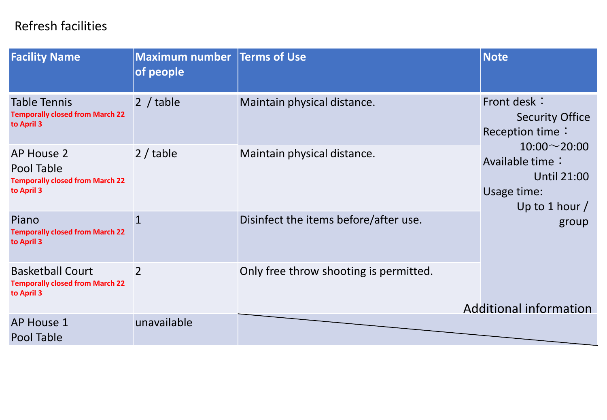## Refresh facilities

| <b>Facility Name</b>                                                             | <b>Maximum number Terms of Use</b><br>of people |                                        | <b>Note</b>                                                                                    |  |
|----------------------------------------------------------------------------------|-------------------------------------------------|----------------------------------------|------------------------------------------------------------------------------------------------|--|
| <b>Table Tennis</b><br><b>Temporally closed from March 22</b><br>to April 3      | 2 / table                                       | Maintain physical distance.            | Front desk:<br><b>Security Office</b><br>Reception time:                                       |  |
| AP House 2<br>Pool Table<br><b>Temporally closed from March 22</b><br>to April 3 | 2 / table                                       | Maintain physical distance.            | $10:00 \sim 20:00$<br>Available time:<br><b>Until 21:00</b><br>Usage time:<br>Up to 1 hour $/$ |  |
| Piano<br><b>Temporally closed from March 22</b><br>to April 3                    | $\mathbf{1}$                                    | Disinfect the items before/after use.  | group                                                                                          |  |
| <b>Basketball Court</b><br><b>Temporally closed from March 22</b><br>to April 3  | $\overline{2}$                                  | Only free throw shooting is permitted. | <b>Additional information</b>                                                                  |  |
| <b>AP House 1</b><br>Pool Table                                                  | unavailable                                     |                                        |                                                                                                |  |